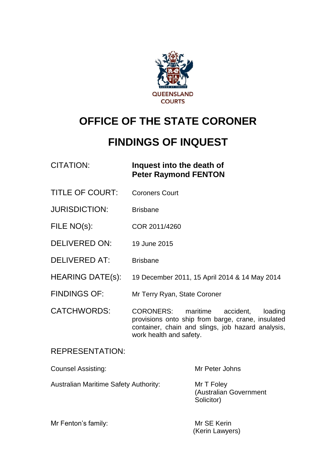

# **OFFICE OF THE STATE CORONER**

# **FINDINGS OF INQUEST**

## CITATION: **Inquest into the death of Peter Raymond FENTON**

- TITLE OF COURT: Coroners Court
- JURISDICTION: Brisbane
- FILE NO(s): COR 2011/4260
- DELIVERED ON: 19 June 2015
- DELIVERED AT: Brisbane
- HEARING DATE(s): 19 December 2011, 15 April 2014 & 14 May 2014
- FINDINGS OF: Mr Terry Ryan, State Coroner
- CATCHWORDS: CORONERS: maritime accident, loading provisions onto ship from barge, crane, insulated container, chain and slings, job hazard analysis, work health and safety.

### REPRESENTATION:

| <b>Counsel Assisting:</b>                    | Mr Peter Johns                                     |
|----------------------------------------------|----------------------------------------------------|
| <b>Australian Maritime Safety Authority:</b> | Mr T Foley<br>(Australian Government<br>Solicitor) |

| Mr Fenton's family: | Mr SE Kerin     |  |
|---------------------|-----------------|--|
|                     | (Kerin Lawyers) |  |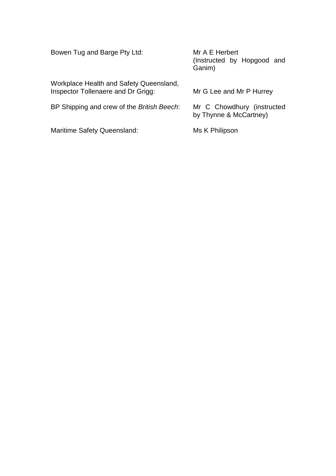| Bowen Tug and Barge Pty Ltd:                                                  | Mr A E Herbert<br>(Instructed by Hopgood and<br>Ganim) |
|-------------------------------------------------------------------------------|--------------------------------------------------------|
| Workplace Health and Safety Queensland,<br>Inspector Tollenaere and Dr Grigg: | Mr G Lee and Mr P Hurrey                               |
| BP Shipping and crew of the British Beech:                                    | Mr C Chowdhury (instructed<br>by Thynne & McCartney)   |
| Maritime Safety Queensland:                                                   | Ms K Philipson                                         |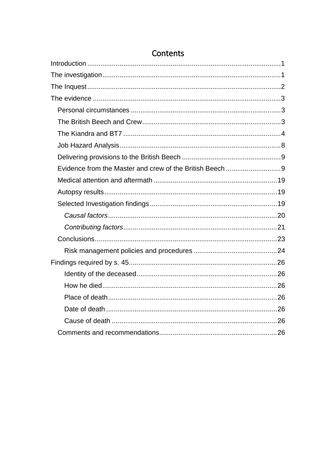## Contents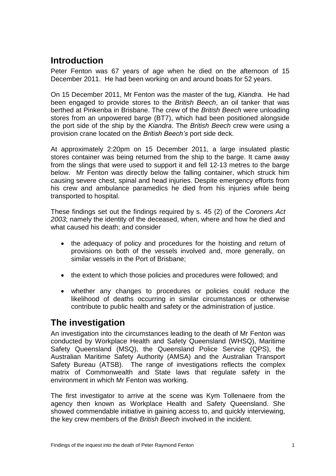## <span id="page-3-0"></span>**Introduction**

Peter Fenton was 67 years of age when he died on the afternoon of 15 December 2011. He had been working on and around boats for 52 years.

On 15 December 2011, Mr Fenton was the master of the tug, *Kiandra.* He had been engaged to provide stores to the *British Beech*, an oil tanker that was berthed at Pinkenba in Brisbane. The crew of the *British Beech* were unloading stores from an unpowered barge (BT7), which had been positioned alongside the port side of the ship by the *Kiandra*. The *British Beech* crew were using a provision crane located on the *British Beech's* port side deck.

At approximately 2:20pm on 15 December 2011, a large insulated plastic stores container was being returned from the ship to the barge. It came away from the slings that were used to support it and fell 12-13 metres to the barge below. Mr Fenton was directly below the falling container, which struck him causing severe chest, spinal and head injuries. Despite emergency efforts from his crew and ambulance paramedics he died from his injuries while being transported to hospital.

These findings set out the findings required by s. 45 (2) of the *Coroners Act 2003*; namely the identity of the deceased, when, where and how he died and what caused his death; and consider

- the adequacy of policy and procedures for the hoisting and return of provisions on both of the vessels involved and, more generally, on similar vessels in the Port of Brisbane;
- the extent to which those policies and procedures were followed; and
- whether any changes to procedures or policies could reduce the likelihood of deaths occurring in similar circumstances or otherwise contribute to public health and safety or the administration of justice.

## <span id="page-3-1"></span>**The investigation**

An investigation into the circumstances leading to the death of Mr Fenton was conducted by Workplace Health and Safety Queensland (WHSQ), Maritime Safety Queensland (MSQ), the Queensland Police Service (QPS), the Australian Maritime Safety Authority (AMSA) and the Australian Transport Safety Bureau (ATSB). The range of investigations reflects the complex matrix of Commonwealth and State laws that regulate safety in the environment in which Mr Fenton was working.

The first investigator to arrive at the scene was Kym Tollenaere from the agency then known as Workplace Health and Safety Queensland. She showed commendable initiative in gaining access to, and quickly interviewing, the key crew members of the *British Beech* involved in the incident.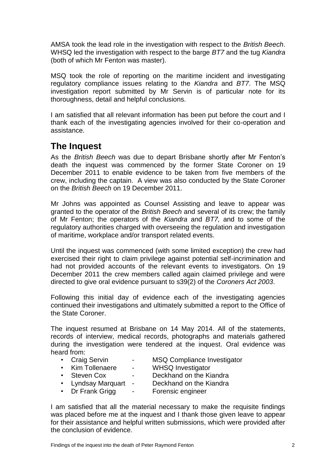AMSA took the lead role in the investigation with respect to the *British Beech*. WHSQ led the investigation with respect to the barge *BT7* and the tug *Kiandra* (both of which Mr Fenton was master).

MSQ took the role of reporting on the maritime incident and investigating regulatory compliance issues relating to the *Kiandra* and *BT7*. The MSQ investigation report submitted by Mr Servin is of particular note for its thoroughness, detail and helpful conclusions.

I am satisfied that all relevant information has been put before the court and I thank each of the investigating agencies involved for their co-operation and assistance.

## <span id="page-4-0"></span>**The Inquest**

As the *British Beech* was due to depart Brisbane shortly after Mr Fenton's death the inquest was commenced by the former State Coroner on 19 December 2011 to enable evidence to be taken from five members of the crew, including the captain. A view was also conducted by the State Coroner on the *British Beech* on 19 December 2011.

Mr Johns was appointed as Counsel Assisting and leave to appear was granted to the operator of the *British Beech* and several of its crew; the family of Mr Fenton; the operators of the *Kiandra* and *BT7,* and to some of the regulatory authorities charged with overseeing the regulation and investigation of maritime, workplace and/or transport related events.

Until the inquest was commenced (with some limited exception) the crew had exercised their right to claim privilege against potential self-incrimination and had not provided accounts of the relevant events to investigators. On 19 December 2011 the crew members called again claimed privilege and were directed to give oral evidence pursuant to s39(2) of the *Coroners Act 2003*.

Following this initial day of evidence each of the investigating agencies continued their investigations and ultimately submitted a report to the Office of the State Coroner.

The inquest resumed at Brisbane on 14 May 2014. All of the statements, records of interview, medical records, photographs and materials gathered during the investigation were tendered at the inquest. Oral evidence was heard from:

- 
- Craig Servin MSQ Compliance Investigator<br>• Kim Tollenaere WHSQ Investigator
- 
- WHSQ Investigator
- 
- Steven Cox Deckhand on the Kiandra
- Lyndsay Marquart Deckhand on the Kiandra
- Dr Frank Grigg Forensic engineer

I am satisfied that all the material necessary to make the requisite findings was placed before me at the inquest and I thank those given leave to appear for their assistance and helpful written submissions, which were provided after the conclusion of evidence.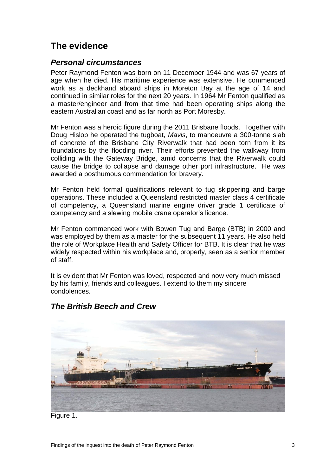## <span id="page-5-0"></span>**The evidence**

### <span id="page-5-1"></span>*Personal circumstances*

Peter Raymond Fenton was born on 11 December 1944 and was 67 years of age when he died. His maritime experience was extensive. He commenced work as a deckhand aboard ships in Moreton Bay at the age of 14 and continued in similar roles for the next 20 years. In 1964 Mr Fenton qualified as a master/engineer and from that time had been operating ships along the eastern Australian coast and as far north as Port Moresby.

Mr Fenton was a heroic figure during the 2011 Brisbane floods. Together with Doug Hislop he operated the tugboat, *Mavis*, to manoeuvre a 300-tonne slab of concrete of the Brisbane City Riverwalk that had been torn from it its foundations by the flooding river. Their efforts prevented the walkway from colliding with the Gateway Bridge, amid concerns that the Riverwalk could cause the bridge to collapse and damage other port infrastructure. He was awarded a posthumous commendation for bravery.

Mr Fenton held formal qualifications relevant to tug skippering and barge operations. These included a Queensland restricted master class 4 certificate of competency, a Queensland marine engine driver grade 1 certificate of competency and a slewing mobile crane operator's licence.

Mr Fenton commenced work with Bowen Tug and Barge (BTB) in 2000 and was employed by them as a master for the subsequent 11 years. He also held the role of Workplace Health and Safety Officer for BTB. It is clear that he was widely respected within his workplace and, properly, seen as a senior member of staff.

It is evident that Mr Fenton was loved, respected and now very much missed by his family, friends and colleagues. I extend to them my sincere condolences.



## <span id="page-5-2"></span>*The British Beech and Crew*

Figure 1.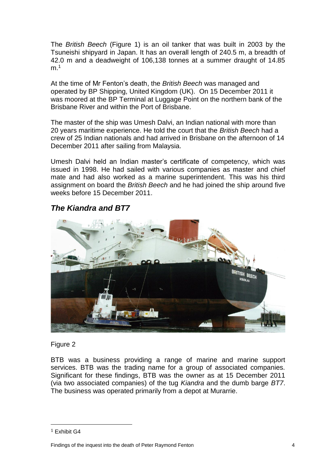The *British Beech* (Figure 1) is an oil tanker that was built in 2003 by the Tsuneishi shipyard in Japan. It has an overall length of 240.5 m, a breadth of 42.0 m and a deadweight of 106,138 tonnes at a summer draught of 14.85  $m<sup>1</sup>$ 

At the time of Mr Fenton's death, the *British Beech* was managed and operated by BP Shipping, United Kingdom (UK). On 15 December 2011 it was moored at the BP Terminal at Luggage Point on the northern bank of the Brisbane River and within the Port of Brisbane.

The master of the ship was Umesh Dalvi, an Indian national with more than 20 years maritime experience. He told the court that the *British Beech* had a crew of 25 Indian nationals and had arrived in Brisbane on the afternoon of 14 December 2011 after sailing from Malaysia.

Umesh Dalvi held an Indian master's certificate of competency, which was issued in 1998. He had sailed with various companies as master and chief mate and had also worked as a marine superintendent. This was his third assignment on board the *British Beech* and he had joined the ship around five weeks before 15 December 2011.

## <span id="page-6-0"></span>*The Kiandra and BT7*



#### Figure 2

BTB was a business providing a range of marine and marine support services. BTB was the trading name for a group of associated companies. Significant for these findings, BTB was the owner as at 15 December 2011 (via two associated companies) of the tug *Kiandra* and the dumb barge *BT7*. The business was operated primarily from a depot at Murarrie.

<sup>1</sup> Exhibit G4

Findings of the inquest into the death of Peter Raymond Fenton 4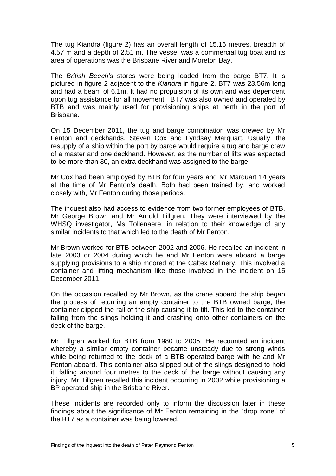The tug Kiandra (figure 2) has an overall length of 15.16 metres, breadth of 4.57 m and a depth of 2.51 m. The vessel was a commercial tug boat and its area of operations was the Brisbane River and Moreton Bay.

The *British Beech's* stores were being loaded from the barge BT7. It is pictured in figure 2 adjacent to the *Kiandra* in figure 2. BT7 was 23.56m long and had a beam of 6.1m. It had no propulsion of its own and was dependent upon tug assistance for all movement. BT7 was also owned and operated by BTB and was mainly used for provisioning ships at berth in the port of Brisbane.

On 15 December 2011, the tug and barge combination was crewed by Mr Fenton and deckhands, Steven Cox and Lyndsay Marquart. Usually, the resupply of a ship within the port by barge would require a tug and barge crew of a master and one deckhand. However, as the number of lifts was expected to be more than 30, an extra deckhand was assigned to the barge.

Mr Cox had been employed by BTB for four years and Mr Marquart 14 years at the time of Mr Fenton's death. Both had been trained by, and worked closely with, Mr Fenton during those periods.

The inquest also had access to evidence from two former employees of BTB, Mr George Brown and Mr Arnold Tillgren. They were interviewed by the WHSQ investigator, Ms Tollenaere, in relation to their knowledge of any similar incidents to that which led to the death of Mr Fenton.

Mr Brown worked for BTB between 2002 and 2006. He recalled an incident in late 2003 or 2004 during which he and Mr Fenton were aboard a barge supplying provisions to a ship moored at the Caltex Refinery. This involved a container and lifting mechanism like those involved in the incident on 15 December 2011.

On the occasion recalled by Mr Brown, as the crane aboard the ship began the process of returning an empty container to the BTB owned barge, the container clipped the rail of the ship causing it to tilt. This led to the container falling from the slings holding it and crashing onto other containers on the deck of the barge.

Mr Tillgren worked for BTB from 1980 to 2005. He recounted an incident whereby a similar empty container became unsteady due to strong winds while being returned to the deck of a BTB operated barge with he and Mr Fenton aboard. This container also slipped out of the slings designed to hold it, falling around four metres to the deck of the barge without causing any injury. Mr Tillgren recalled this incident occurring in 2002 while provisioning a BP operated ship in the Brisbane River.

These incidents are recorded only to inform the discussion later in these findings about the significance of Mr Fenton remaining in the "drop zone" of the BT7 as a container was being lowered.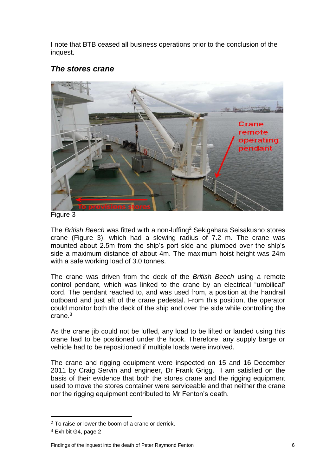I note that BTB ceased all business operations prior to the conclusion of the inquest.

## *The stores crane*



Figure 3

The *British Beech* was fitted with a non-luffing<sup>2</sup> Sekigahara Seisakusho stores crane (Figure 3), which had a slewing radius of 7.2 m. The crane was mounted about 2.5m from the ship's port side and plumbed over the ship's side a maximum distance of about 4m. The maximum hoist height was 24m with a safe working load of 3.0 tonnes.

The crane was driven from the deck of the *British Beech* using a remote control pendant, which was linked to the crane by an electrical "umbilical" cord. The pendant reached to, and was used from, a position at the handrail outboard and just aft of the crane pedestal. From this position, the operator could monitor both the deck of the ship and over the side while controlling the crane.<sup>3</sup>

As the crane jib could not be luffed, any load to be lifted or landed using this crane had to be positioned under the hook. Therefore, any supply barge or vehicle had to be repositioned if multiple loads were involved.

The crane and rigging equipment were inspected on 15 and 16 December 2011 by Craig Servin and engineer, Dr Frank Grigg. I am satisfied on the basis of their evidence that both the stores crane and the rigging equipment used to move the stores container were serviceable and that neither the crane nor the rigging equipment contributed to Mr Fenton's death.

 $2$  To raise or lower the boom of a crane or derrick.

<sup>3</sup> Exhibit G4, page 2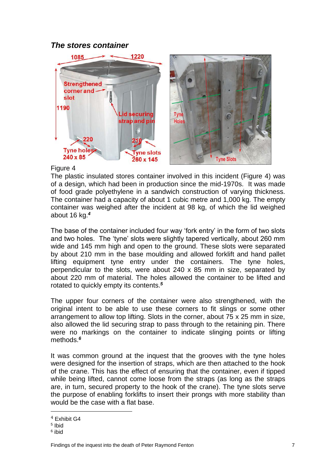## *The stores container*



#### Figure 4

The plastic insulated stores container involved in this incident (Figure 4) was of a design, which had been in production since the mid-1970s. It was made of food grade polyethylene in a sandwich construction of varying thickness. The container had a capacity of about 1 cubic metre and 1,000 kg. The empty container was weighed after the incident at 98 kg, of which the lid weighed about 16 kg.*<sup>4</sup>*

The base of the container included four way 'fork entry' in the form of two slots and two holes. The 'tyne' slots were slightly tapered vertically, about 260 mm wide and 145 mm high and open to the ground. These slots were separated by about 210 mm in the base moulding and allowed forklift and hand pallet lifting equipment tyne entry under the containers. The tyne holes, perpendicular to the slots, were about 240 x 85 mm in size, separated by about 220 mm of material. The holes allowed the container to be lifted and rotated to quickly empty its contents.*<sup>5</sup>*

The upper four corners of the container were also strengthened, with the original intent to be able to use these corners to fit slings or some other arrangement to allow top lifting. Slots in the corner, about 75 x 25 mm in size, also allowed the lid securing strap to pass through to the retaining pin. There were no markings on the container to indicate slinging points or lifting methods.*<sup>6</sup>*

It was common ground at the inquest that the grooves with the tyne holes were designed for the insertion of straps, which are then attached to the hook of the crane. This has the effect of ensuring that the container, even if tipped while being lifted, cannot come loose from the straps (as long as the straps are, in turn, secured property to the hook of the crane). The tyne slots serve the purpose of enabling forklifts to insert their prongs with more stability than would be the case with a flat base.

<sup>4</sup> Exhibit G4

<sup>5</sup> Ibid

<sup>6</sup> ibid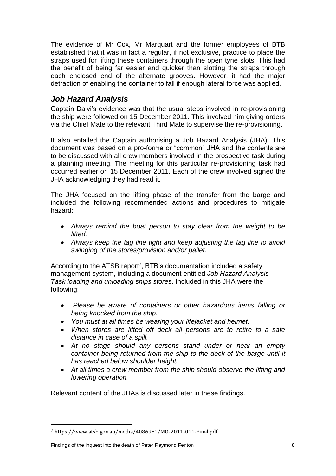The evidence of Mr Cox, Mr Marquart and the former employees of BTB established that it was in fact a regular, if not exclusive, practice to place the straps used for lifting these containers through the open tyne slots. This had the benefit of being far easier and quicker than slotting the straps through each enclosed end of the alternate grooves. However, it had the major detraction of enabling the container to fall if enough lateral force was applied.

## <span id="page-10-0"></span>*Job Hazard Analysis*

Captain Dalvi's evidence was that the usual steps involved in re-provisioning the ship were followed on 15 December 2011. This involved him giving orders via the Chief Mate to the relevant Third Mate to supervise the re-provisioning.

It also entailed the Captain authorising a Job Hazard Analysis (JHA). This document was based on a pro-forma or "common" JHA and the contents are to be discussed with all crew members involved in the prospective task during a planning meeting. The meeting for this particular re-provisioning task had occurred earlier on 15 December 2011. Each of the crew involved signed the JHA acknowledging they had read it.

The JHA focused on the lifting phase of the transfer from the barge and included the following recommended actions and procedures to mitigate hazard:

- *Always remind the boat person to stay clear from the weight to be lifted.*
- *Always keep the tag line tight and keep adjusting the tag line to avoid swinging of the stores/provision and/or pallet*.

According to the ATSB report<sup>7</sup>, BTB's documentation included a safety management system, including a document entitled *Job Hazard Analysis Task loading and unloading ships stores*. Included in this JHA were the following:

- *Please be aware of containers or other hazardous items falling or being knocked from the ship.*
- *You must at all times be wearing your lifejacket and helmet.*
- *When stores are lifted off deck all persons are to retire to a safe distance in case of a spill.*
- *At no stage should any persons stand under or near an empty container being returned from the ship to the deck of the barge until it has reached below shoulder height.*
- *At all times a crew member from the ship should observe the lifting and lowering operation.*

Relevant content of the JHAs is discussed later in these findings.

<sup>7</sup> https://www.atsb.gov.au/media/4086981/MO-2011-011-Final.pdf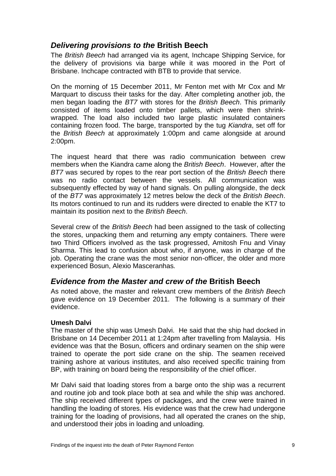## <span id="page-11-0"></span>*Delivering provisions to the* **British Beech**

The *British Beech* had arranged via its agent, Inchcape Shipping Service, for the delivery of provisions via barge while it was moored in the Port of Brisbane. Inchcape contracted with BTB to provide that service.

On the morning of 15 December 2011, Mr Fenton met with Mr Cox and Mr Marquart to discuss their tasks for the day. After completing another job, the men began loading the *BT7* with stores for the *British Beech*. This primarily consisted of items loaded onto timber pallets, which were then shrinkwrapped. The load also included two large plastic insulated containers containing frozen food. The barge, transported by the tug *Kiandra*, set off for the *British Beech* at approximately 1:00pm and came alongside at around 2:00pm.

The inquest heard that there was radio communication between crew members when the Kiandra came along the *British Beech*. However, after the *BT7* was secured by ropes to the rear port section of the *British Beech* there was no radio contact between the vessels. All communication was subsequently effected by way of hand signals. On pulling alongside, the deck of the *BT7* was approximately 12 metres below the deck of the *British Beech*. Its motors continued to run and its rudders were directed to enable the KT7 to maintain its position next to the *British Beech*.

Several crew of the *British Beech* had been assigned to the task of collecting the stores, unpacking them and returning any empty containers. There were two Third Officers involved as the task progressed, Amitosh Fnu and Vinay Sharma. This lead to confusion about who, if anyone, was in charge of the job. Operating the crane was the most senior non-officer, the older and more experienced Bosun, Alexio Masceranhas*.* 

## <span id="page-11-1"></span>*Evidence from the Master and crew of the* **British Beech**

As noted above, the master and relevant crew members of the *British Beech* gave evidence on 19 December 2011. The following is a summary of their evidence.

#### **Umesh Dalvi**

The master of the ship was Umesh Dalvi. He said that the ship had docked in Brisbane on 14 December 2011 at 1:24pm after travelling from Malaysia. His evidence was that the Bosun, officers and ordinary seamen on the ship were trained to operate the port side crane on the ship. The seamen received training ashore at various institutes, and also received specific training from BP, with training on board being the responsibility of the chief officer.

Mr Dalvi said that loading stores from a barge onto the ship was a recurrent and routine job and took place both at sea and while the ship was anchored. The ship received different types of packages, and the crew were trained in handling the loading of stores. His evidence was that the crew had undergone training for the loading of provisions, had all operated the cranes on the ship, and understood their jobs in loading and unloading.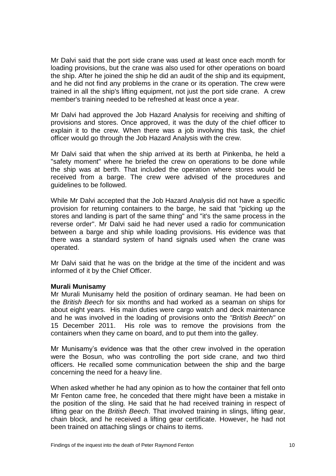Mr Dalvi said that the port side crane was used at least once each month for loading provisions, but the crane was also used for other operations on board the ship. After he joined the ship he did an audit of the ship and its equipment, and he did not find any problems in the crane or its operation. The crew were trained in all the ship's lifting equipment, not just the port side crane. A crew member's training needed to be refreshed at least once a year.

Mr Dalvi had approved the Job Hazard Analysis for receiving and shifting of provisions and stores. Once approved, it was the duty of the chief officer to explain it to the crew. When there was a job involving this task, the chief officer would go through the Job Hazard Analysis with the crew.

Mr Dalvi said that when the ship arrived at its berth at Pinkenba, he held a "safety moment" where he briefed the crew on operations to be done while the ship was at berth. That included the operation where stores would be received from a barge. The crew were advised of the procedures and guidelines to be followed.

While Mr Dalvi accepted that the Job Hazard Analysis did not have a specific provision for returning containers to the barge, he said that "picking up the stores and landing is part of the same thing" and "it's the same process in the reverse order". Mr Dalvi said he had never used a radio for communication between a barge and ship while loading provisions. His evidence was that there was a standard system of hand signals used when the crane was operated.

Mr Dalvi said that he was on the bridge at the time of the incident and was informed of it by the Chief Officer.

#### **Murali Munisamy**

Mr Murali Munisamy held the position of ordinary seaman. He had been on the *British Beech* for six months and had worked as a seaman on ships for about eight years. His main duties were cargo watch and deck maintenance and he was involved in the loading of provisions onto the *"British Beech"* on 15 December 2011. His role was to remove the provisions from the containers when they came on board, and to put them into the galley.

Mr Munisamy's evidence was that the other crew involved in the operation were the Bosun, who was controlling the port side crane, and two third officers. He recalled some communication between the ship and the barge concerning the need for a heavy line.

When asked whether he had any opinion as to how the container that fell onto Mr Fenton came free, he conceded that there might have been a mistake in the position of the sling. He said that he had received training in respect of lifting gear on the *British Beech*. That involved training in slings, lifting gear, chain block, and he received a lifting gear certificate. However, he had not been trained on attaching slings or chains to items.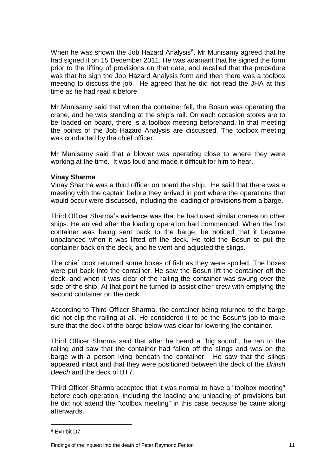When he was shown the Job Hazard Analysis<sup>8</sup>, Mr Munisamy agreed that he had signed it on 15 December 2011. He was adamant that he signed the form prior to the lifting of provisions on that date, and recalled that the procedure was that he sign the Job Hazard Analysis form and then there was a toolbox meeting to discuss the job. He agreed that he did not read the JHA at this time as he had read it before.

Mr Munisamy said that when the container fell, the Bosun was operating the crane, and he was standing at the ship's rail. On each occasion stores are to be loaded on board, there is a toolbox meeting beforehand. In that meeting the points of the Job Hazard Analysis are discussed. The toolbox meeting was conducted by the chief officer.

Mr Munisamy said that a blower was operating close to where they were working at the time. It was loud and made it difficult for him to hear.

#### **Vinay Sharma**

Vinay Sharma was a third officer on board the ship. He said that there was a meeting with the captain before they arrived in port where the operations that would occur were discussed, including the loading of provisions from a barge.

Third Officer Sharma's evidence was that he had used similar cranes on other ships. He arrived after the loading operation had commenced. When the first container was being sent back to the barge, he noticed that it became unbalanced when it was lifted off the deck. He told the Bosun to put the container back on the deck, and he went and adjusted the slings.

The chief cook returned some boxes of fish as they were spoiled. The boxes were put back into the container. He saw the Bosun lift the container off the deck, and when it was clear of the railing the container was swung over the side of the ship. At that point he turned to assist other crew with emptying the second container on the deck.

According to Third Officer Sharma, the container being returned to the barge did not clip the railing at all. He considered it to be the Bosun's job to make sure that the deck of the barge below was clear for lowering the container.

Third Officer Sharma said that after he heard a "big sound", he ran to the railing and saw that the container had fallen off the slings and was on the barge with a person lying beneath the container. He saw that the slings appeared intact and that they were positioned between the deck of the *British Beech* and the deck of BT7.

Third Officer Sharma accepted that it was normal to have a "toolbox meeting" before each operation, including the loading and unloading of provisions but he did not attend the "toolbox meeting" in this case because he came along afterwards.

<sup>8</sup> Exhibit D7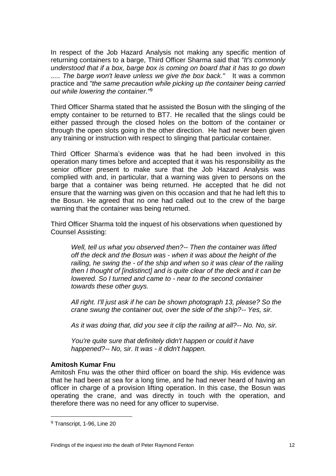In respect of the Job Hazard Analysis not making any specific mention of returning containers to a barge, Third Officer Sharma said that *"It's commonly understood that if a box, barge box is coming on board that it has to go down ..... The barge won't leave unless we give the box back."* It was a common practice and *"the same precaution while picking up the container being carried out while lowering the container."*<sup>9</sup>

Third Officer Sharma stated that he assisted the Bosun with the slinging of the empty container to be returned to BT7. He recalled that the slings could be either passed through the closed holes on the bottom of the container or through the open slots going in the other direction. He had never been given any training or instruction with respect to slinging that particular container.

Third Officer Sharma's evidence was that he had been involved in this operation many times before and accepted that it was his responsibility as the senior officer present to make sure that the Job Hazard Analysis was complied with and, in particular, that a warning was given to persons on the barge that a container was being returned. He accepted that he did not ensure that the warning was given on this occasion and that he had left this to the Bosun. He agreed that no one had called out to the crew of the barge warning that the container was being returned.

Third Officer Sharma told the inquest of his observations when questioned by Counsel Assisting:

*Well, tell us what you observed then?-- Then the container was lifted off the deck and the Bosun was - when it was about the height of the railing, he swing the - of the ship and when so it was clear of the railing then I thought of [indistinct] and is quite clear of the deck and it can be lowered. So I turned and came to - near to the second container towards these other guys.* 

*All right. I'll just ask if he can be shown photograph 13, please? So the crane swung the container out, over the side of the ship?-- Yes, sir.* 

*As it was doing that, did you see it clip the railing at all?-- No. No, sir.* 

*You're quite sure that definitely didn't happen or could it have happened?-- No, sir. It was - it didn't happen.*

#### **Amitosh Kumar Fnu**

Amitosh Fnu was the other third officer on board the ship. His evidence was that he had been at sea for a long time, and he had never heard of having an officer in charge of a provision lifting operation. In this case, the Bosun was operating the crane, and was directly in touch with the operation, and therefore there was no need for any officer to supervise.

<sup>9</sup> Transcript, 1-96, Line 20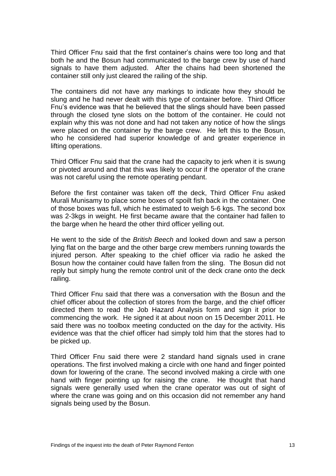Third Officer Fnu said that the first container's chains were too long and that both he and the Bosun had communicated to the barge crew by use of hand signals to have them adjusted. After the chains had been shortened the container still only just cleared the railing of the ship.

The containers did not have any markings to indicate how they should be slung and he had never dealt with this type of container before. Third Officer Fnu's evidence was that he believed that the slings should have been passed through the closed tyne slots on the bottom of the container. He could not explain why this was not done and had not taken any notice of how the slings were placed on the container by the barge crew. He left this to the Bosun, who he considered had superior knowledge of and greater experience in lifting operations.

Third Officer Fnu said that the crane had the capacity to jerk when it is swung or pivoted around and that this was likely to occur if the operator of the crane was not careful using the remote operating pendant.

Before the first container was taken off the deck, Third Officer Fnu asked Murali Munisamy to place some boxes of spoilt fish back in the container. One of those boxes was full, which he estimated to weigh 5-6 kgs. The second box was 2-3kgs in weight. He first became aware that the container had fallen to the barge when he heard the other third officer yelling out.

He went to the side of the *British Beech* and looked down and saw a person lying flat on the barge and the other barge crew members running towards the injured person. After speaking to the chief officer via radio he asked the Bosun how the container could have fallen from the sling. The Bosun did not reply but simply hung the remote control unit of the deck crane onto the deck railing.

Third Officer Fnu said that there was a conversation with the Bosun and the chief officer about the collection of stores from the barge, and the chief officer directed them to read the Job Hazard Analysis form and sign it prior to commencing the work. He signed it at about noon on 15 December 2011. He said there was no toolbox meeting conducted on the day for the activity. His evidence was that the chief officer had simply told him that the stores had to be picked up.

Third Officer Fnu said there were 2 standard hand signals used in crane operations. The first involved making a circle with one hand and finger pointed down for lowering of the crane. The second involved making a circle with one hand with finger pointing up for raising the crane. He thought that hand signals were generally used when the crane operator was out of sight of where the crane was going and on this occasion did not remember any hand signals being used by the Bosun.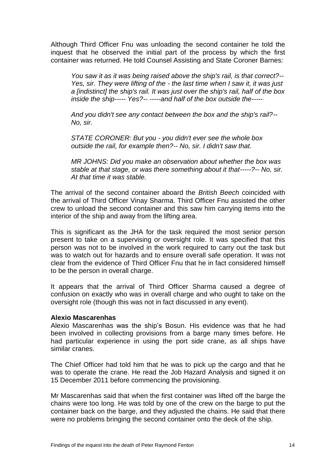Although Third Officer Fnu was unloading the second container he told the inquest that he observed the initial part of the process by which the first container was returned. He told Counsel Assisting and State Coroner Barnes:

*You saw it as it was being raised above the ship's rail, is that correct?-- Yes, sir. They were lifting of the - the last time when I saw it, it was just a [indistinct] the ship's rail. It was just over the ship's rail, half of the box inside the ship----- Yes?-- -----and half of the box outside the-----*

*And you didn't see any contact between the box and the ship's rail?-- No, sir.* 

*STATE CORONER: But you - you didn't ever see the whole box outside the rail, for example then?-- No, sir. I didn't saw that.* 

*MR JOHNS: Did you make an observation about whether the box was stable at that stage, or was there something about it that-----?-- No, sir. At that time it was stable.*

The arrival of the second container aboard the *British Beech* coincided with the arrival of Third Officer Vinay Sharma. Third Officer Fnu assisted the other crew to unload the second container and this saw him carrying items into the interior of the ship and away from the lifting area.

This is significant as the JHA for the task required the most senior person present to take on a supervising or oversight role. It was specified that this person was not to be involved in the work required to carry out the task but was to watch out for hazards and to ensure overall safe operation. It was not clear from the evidence of Third Officer Fnu that he in fact considered himself to be the person in overall charge.

It appears that the arrival of Third Officer Sharma caused a degree of confusion on exactly who was in overall charge and who ought to take on the oversight role (though this was not in fact discussed in any event).

#### **Alexio Mascarenhas**

Alexio Mascarenhas was the ship's Bosun. His evidence was that he had been involved in collecting provisions from a barge many times before. He had particular experience in using the port side crane, as all ships have similar cranes.

The Chief Officer had told him that he was to pick up the cargo and that he was to operate the crane. He read the Job Hazard Analysis and signed it on 15 December 2011 before commencing the provisioning.

Mr Mascarenhas said that when the first container was lifted off the barge the chains were too long. He was told by one of the crew on the barge to put the container back on the barge, and they adjusted the chains. He said that there were no problems bringing the second container onto the deck of the ship.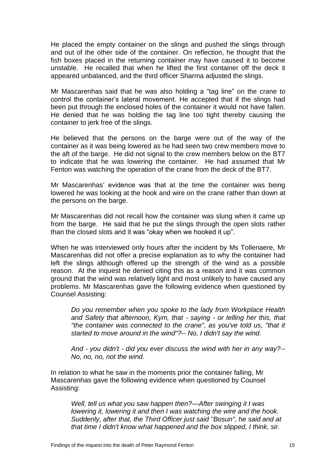He placed the empty container on the slings and pushed the slings through and out of the other side of the container. On reflection, he thought that the fish boxes placed in the returning container may have caused it to become unstable. He recalled that when he lifted the first container off the deck it appeared unbalanced, and the third officer Sharma adjusted the slings.

Mr Mascarenhas said that he was also holding a "tag line" on the crane to control the container's lateral movement. He accepted that if the slings had been put through the enclosed holes of the container it would not have fallen. He denied that he was holding the tag line too tight thereby causing the container to jerk free of the slings.

He believed that the persons on the barge were out of the way of the container as it was being lowered as he had seen two crew members move to the aft of the barge. He did not signal to the crew members below on the BT7 to indicate that he was lowering the container. He had assumed that Mr Fenton was watching the operation of the crane from the deck of the BT7.

Mr Mascarenhas' evidence was that at the time the container was being lowered he was looking at the hook and wire on the crane rather than down at the persons on the barge.

Mr Mascarenhas did not recall how the container was slung when it came up from the barge. He said that he put the slings through the open slots rather than the closed slots and it was "okay when we hooked it up".

When he was interviewed only hours after the incident by Ms Tollenaere, Mr Mascarenhas did not offer a precise explanation as to why the container had left the slings although offered up the strength of the wind as a possible reason. At the inquest he denied citing this as a reason and it was common ground that the wind was relatively light and most unlikely to have caused any problems. Mr Mascarenhas gave the following evidence when questioned by Counsel Assisting:

*Do you remember when you spoke to the lady from Workplace Health and Safety that afternoon, Kym, that - saying - or telling her this, that "the container was connected to the crane", as you've told us, "that it started to move around in the wind"?-- No, I didn't say the wind.* 

*And - you didn't - did you ever discuss the wind with her in any way?-- No, no, no, not the wind.*

In relation to what he saw in the moments prior the container falling, Mr Mascarenhas gave the following evidence when questioned by Counsel Assisting:

*Well, tell us what you saw happen then?—After swinging it I was lowering it, lowering it and then I was watching the wire and the hook. Suddenly, after that, the Third Officer just said "Bosun", he said and at that time I didn't know what happened and the box slipped, I think, sir.*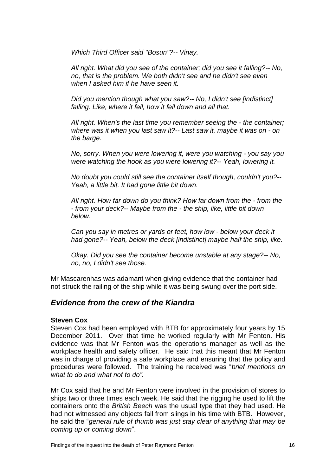*Which Third Officer said "Bosun"?-- Vinay.* 

*All right. What did you see of the container; did you see it falling?-- No, no, that is the problem. We both didn't see and he didn't see even when I asked him if he have seen it.* 

*Did you mention though what you saw?-- No, I didn't see [indistinct] falling. Like, where it fell, how it fell down and all that.* 

*All right. When's the last time you remember seeing the - the container; where was it when you last saw it?-- Last saw it, maybe it was on - on the barge.*

*No, sorry. When you were lowering it, were you watching - you say you were watching the hook as you were lowering it?-- Yeah, lowering it.* 

*No doubt you could still see the container itself though, couldn't you?-- Yeah, a little bit. It had gone little bit down.* 

*All right. How far down do you think? How far down from the - from the - from your deck?-- Maybe from the - the ship, like, little bit down below.* 

*Can you say in metres or yards or feet, how low - below your deck it had gone?-- Yeah, below the deck [indistinct] maybe half the ship, like.* 

*Okay. Did you see the container become unstable at any stage?-- No, no, no, I didn't see those.*

Mr Mascarenhas was adamant when giving evidence that the container had not struck the railing of the ship while it was being swung over the port side.

### *Evidence from the crew of the Kiandra*

#### **Steven Cox**

Steven Cox had been employed with BTB for approximately four years by 15 December 2011. Over that time he worked regularly with Mr Fenton. His evidence was that Mr Fenton was the operations manager as well as the workplace health and safety officer. He said that this meant that Mr Fenton was in charge of providing a safe workplace and ensuring that the policy and procedures were followed. The training he received was "*brief mentions on what to do and what not to do".*

Mr Cox said that he and Mr Fenton were involved in the provision of stores to ships two or three times each week. He said that the rigging he used to lift the containers onto the *British Beech* was the usual type that they had used. He had not witnessed any objects fall from slings in his time with BTB. However, he said the "*general rule of thumb was just stay clear of anything that may be coming up or coming down*".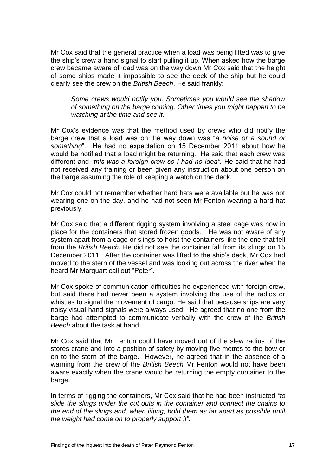Mr Cox said that the general practice when a load was being lifted was to give the ship's crew a hand signal to start pulling it up. When asked how the barge crew became aware of load was on the way down Mr Cox said that the height of some ships made it impossible to see the deck of the ship but he could clearly see the crew on the *British Beech*. He said frankly:

*Some crews would notify you. Sometimes you would see the shadow of something on the barge coming. Other times you might happen to be watching at the time and see it.*

Mr Cox's evidence was that the method used by crews who did notify the barge crew that a load was on the way down was "*a noise or a sound or something*". He had no expectation on 15 December 2011 about how he would be notified that a load might be returning. He said that each crew was different and "*this was a foreign crew so I had no idea".* He said that he had not received any training or been given any instruction about one person on the barge assuming the role of keeping a watch on the deck.

Mr Cox could not remember whether hard hats were available but he was not wearing one on the day, and he had not seen Mr Fenton wearing a hard hat previously.

Mr Cox said that a different rigging system involving a steel cage was now in place for the containers that stored frozen goods. He was not aware of any system apart from a cage or slings to hoist the containers like the one that fell from the *British Beech*. He did not see the container fall from its slings on 15 December 2011. After the container was lifted to the ship's deck, Mr Cox had moved to the stern of the vessel and was looking out across the river when he heard Mr Marquart call out "Peter".

Mr Cox spoke of communication difficulties he experienced with foreign crew, but said there had never been a system involving the use of the radios or whistles to signal the movement of cargo. He said that because ships are very noisy visual hand signals were always used. He agreed that no one from the barge had attempted to communicate verbally with the crew of the *British Beech* about the task at hand.

Mr Cox said that Mr Fenton could have moved out of the slew radius of the stores crane and into a position of safety by moving five metres to the bow or on to the stern of the barge. However, he agreed that in the absence of a warning from the crew of the *British Beech* Mr Fenton would not have been aware exactly when the crane would be returning the empty container to the barge.

In terms of rigging the containers, Mr Cox said that he had been instructed *"to slide the slings under the cut outs in the container and connect the chains to the end of the slings and, when lifting, hold them as far apart as possible until the weight had come on to properly support it".*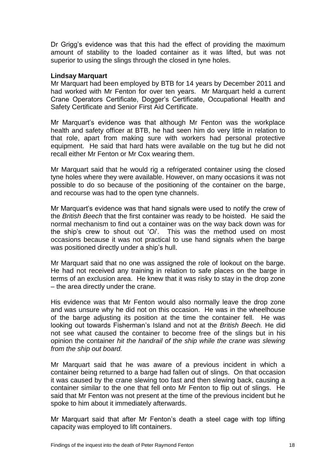Dr Grigg's evidence was that this had the effect of providing the maximum amount of stability to the loaded container as it was lifted, but was not superior to using the slings through the closed in tyne holes.

#### **Lindsay Marquart**

Mr Marquart had been employed by BTB for 14 years by December 2011 and had worked with Mr Fenton for over ten years. Mr Marquart held a current Crane Operators Certificate, Dogger's Certificate, Occupational Health and Safety Certificate and Senior First Aid Certificate.

Mr Marquart's evidence was that although Mr Fenton was the workplace health and safety officer at BTB, he had seen him do very little in relation to that role, apart from making sure with workers had personal protective equipment. He said that hard hats were available on the tug but he did not recall either Mr Fenton or Mr Cox wearing them.

Mr Marquart said that he would rig a refrigerated container using the closed tyne holes where they were available. However, on many occasions it was not possible to do so because of the positioning of the container on the barge, and recourse was had to the open tyne channels.

Mr Marquart's evidence was that hand signals were used to notify the crew of the *British Beech* that the first container was ready to be hoisted. He said the normal mechanism to find out a container was on the way back down was for the ship's crew to shout out '*Oi*'. This was the method used on most occasions because it was not practical to use hand signals when the barge was positioned directly under a ship's hull.

Mr Marquart said that no one was assigned the role of lookout on the barge. He had not received any training in relation to safe places on the barge in terms of an exclusion area. He knew that it was risky to stay in the drop zone – the area directly under the crane.

His evidence was that Mr Fenton would also normally leave the drop zone and was unsure why he did not on this occasion. He was in the wheelhouse of the barge adjusting its position at the time the container fell. He was looking out towards Fisherman's Island and not at the *British Beech.* He did not see what caused the container to become free of the slings but in his opinion the container *hit the handrail of the ship while the crane was slewing from the ship out board.*

Mr Marquart said that he was aware of a previous incident in which a container being returned to a barge had fallen out of slings. On that occasion it was caused by the crane slewing too fast and then slewing back, causing a container similar to the one that fell onto Mr Fenton to flip out of slings. He said that Mr Fenton was not present at the time of the previous incident but he spoke to him about it immediately afterwards.

Mr Marquart said that after Mr Fenton's death a steel cage with top lifting capacity was employed to lift containers.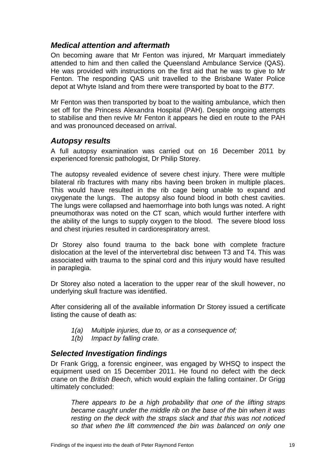## <span id="page-21-0"></span>*Medical attention and aftermath*

On becoming aware that Mr Fenton was injured, Mr Marquart immediately attended to him and then called the Queensland Ambulance Service (QAS). He was provided with instructions on the first aid that he was to give to Mr Fenton. The responding QAS unit travelled to the Brisbane Water Police depot at Whyte Island and from there were transported by boat to the *BT7*.

Mr Fenton was then transported by boat to the waiting ambulance, which then set off for the Princess Alexandra Hospital (PAH). Despite ongoing attempts to stabilise and then revive Mr Fenton it appears he died en route to the PAH and was pronounced deceased on arrival.

### <span id="page-21-1"></span>*Autopsy results*

A full autopsy examination was carried out on 16 December 2011 by experienced forensic pathologist, Dr Philip Storey.

The autopsy revealed evidence of severe chest injury. There were multiple bilateral rib fractures with many ribs having been broken in multiple places. This would have resulted in the rib cage being unable to expand and oxygenate the lungs. The autopsy also found blood in both chest cavities. The lungs were collapsed and haemorrhage into both lungs was noted. A right pneumothorax was noted on the CT scan, which would further interfere with the ability of the lungs to supply oxygen to the blood. The severe blood loss and chest injuries resulted in cardiorespiratory arrest.

Dr Storey also found trauma to the back bone with complete fracture dislocation at the level of the intervertebral disc between T3 and T4. This was associated with trauma to the spinal cord and this injury would have resulted in paraplegia.

Dr Storey also noted a laceration to the upper rear of the skull however, no underlying skull fracture was identified.

After considering all of the available information Dr Storey issued a certificate listing the cause of death as:

- *1(a) Multiple injuries, due to, or as a consequence of;*
- *1(b) Impact by falling crate.*

#### <span id="page-21-2"></span>*Selected Investigation findings*

Dr Frank Grigg, a forensic engineer, was engaged by WHSQ to inspect the equipment used on 15 December 2011. He found no defect with the deck crane on the *British Beech*, which would explain the falling container. Dr Grigg ultimately concluded:

*There appears to be a high probability that one of the lifting straps became caught under the middle rib on the base of the bin when it was resting on the deck with the straps slack and that this was not noticed so that when the lift commenced the bin was balanced on only one*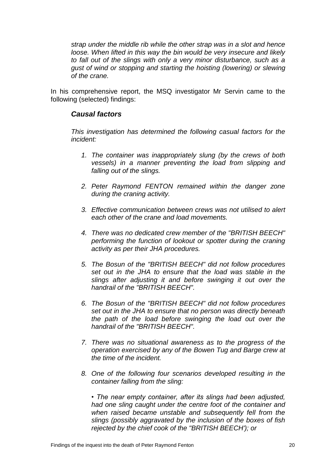*strap under the middle rib while the other strap was in a slot and hence loose. When lifted in this way the bin would be very insecure and likely to fall out of the slings with only a very minor disturbance, such as a gust of wind or stopping and starting the hoisting (lowering) or slewing of the crane.*

<span id="page-22-0"></span>In his comprehensive report, the MSQ investigator Mr Servin came to the following (selected) findings:

#### *Causal factors*

*This investigation has determined the following casual factors for the incident:* 

- *1. The container was inappropriately slung (by the crews of both vessels) in a manner preventing the load from slipping and falling out of the slings.*
- *2. Peter Raymond FENTON remained within the danger zone during the craning activity.*
- *3. Effective communication between crews was not utilised to alert each other of the crane and load movements.*
- *4. There was no dedicated crew member of the "BRITISH BEECH" performing the function of lookout or spotter during the craning activity as per their JHA procedures.*
- *5. The Bosun of the "BRITISH BEECH" did not follow procedures set out in the JHA to ensure that the load was stable in the slings after adjusting it and before swinging it out over the handrail of the "BRITISH BEECH".*
- *6. The Bosun of the "BRITISH BEECH" did not follow procedures set out in the JHA to ensure that no person was directly beneath the path of the load before swinging the load out over the handrail of the "BRITISH BEECH".*
- *7. There was no situational awareness as to the progress of the operation exercised by any of the Bowen Tug and Barge crew at the time of the incident.*
- *8. One of the following four scenarios developed resulting in the container falling from the sling:*

*• The near empty container, after its slings had been adjusted, had one sling caught under the centre foot of the container and when raised became unstable and subsequently fell from the slings (possibly aggravated by the inclusion of the boxes of fish rejected by the chief cook of the "BRITISH BEECH'); or*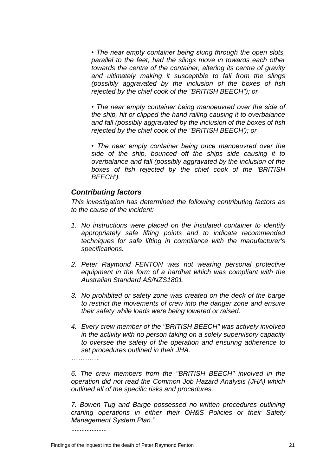*• The near empty container being slung through the open slots, parallel to the feet, had the slings move in towards each other towards the centre of the container, altering its centre of gravity and ultimately making it susceptible to fall from the slings (possibly aggravated by the inclusion of the boxes of fish rejected by the chief cook of the "BRITISH BEECH"); or* 

*• The near empty container being manoeuvred over the side of the ship, hit or clipped the hand railing causing it to overbalance and fall (possibly aggravated by the inclusion of the boxes of fish rejected by the chief cook of the "BRITISH BEECH'); or* 

*• The near empty container being once manoeuvred over the side of the ship, bounced off the ships side causing it to overbalance and fall (possibly aggravated by the inclusion of the boxes of fish rejected by the chief cook of the 'BRITISH BEECH').* 

#### <span id="page-23-0"></span>*Contributing factors*

*This investigation has determined the following contributing factors as to the cause of the incident:* 

- *1. No instructions were placed on the insulated container to identify appropriately safe lifting points and to indicate recommended techniques for safe lifting in compliance with the manufacturer's specifications.*
- *2. Peter Raymond FENTON was not wearing personal protective equipment in the form of a hardhat which was compliant with the Australian Standard AS/NZS1801.*
- *3. No prohibited or safety zone was created on the deck of the barge to restrict the movements of crew into the danger zone and ensure their safety while loads were being lowered or raised.*
- *4. Every crew member of the "BRITISH BEECH" was actively involved in the activity with no person taking on a solely supervisory capacity to oversee the safety of the operation and ensuring adherence to set procedures outlined in their JHA.*

*………….*

*6. The crew members from the "BRITISH BEECH" involved in the operation did not read the Common Job Hazard Analysis (JHA) which outlined all of the specific risks and procedures.* 

*7. Bowen Tug and Barge possessed no written procedures outlining craning operations in either their OH&S Policies or their Safety Management System Plan."*

…………………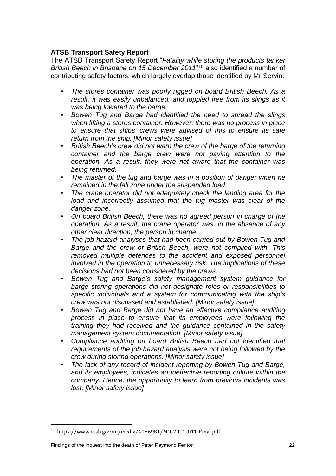### **ATSB Transport Safety Report**

The ATSB Transport Safety Report "*Fatality while storing the products tanker British Beech in Brisbane on 15 December 2011*" <sup>10</sup> also identified a number of contributing safety factors, which largely overlap those identified by Mr Servin:

- *The stores container was poorly rigged on board British Beech. As a result, it was easily unbalanced, and toppled free from its slings as it was being lowered to the barge.*
- *Bowen Tug and Barge had identified the need to spread the slings when lifting a stores container. However, there was no process in place to ensure that ships' crews were advised of this to ensure its safe return from the ship. [Minor safety issue]*
- *British Beech's crew did not warn the crew of the barge of the returning container and the barge crew were not paying attention to the operation. As a result, they were not aware that the container was being returned.*
- *The master of the tug and barge was in a position of danger when he remained in the fall zone under the suspended load.*
- *The crane operator did not adequately check the landing area for the*  load and incorrectly assumed that the tug master was clear of the *danger zone.*
- *On board British Beech, there was no agreed person in charge of the operation. As a result, the crane operator was, in the absence of any other clear direction, the person in charge.*
- *The job hazard analyses that had been carried out by Bowen Tug and Barge and the crew of British Beech, were not complied with. This removed multiple defences to the accident and exposed personnel involved in the operation to unnecessary risk. The implications of these decisions had not been considered by the crews.*
- *Bowen Tug and Barge's safety management system guidance for barge storing operations did not designate roles or responsibilities to specific individuals and a system for communicating with the ship's crew was not discussed and established. [Minor safety issue]*
- *Bowen Tug and Barge did not have an effective compliance auditing process in place to ensure that its employees were following the training they had received and the guidance contained in the safety management system documentation. [Minor safety issue]*
- *Compliance auditing on board British Beech had not identified that requirements of the job hazard analysis were not being followed by the crew during storing operations. [Minor safety issue]*
- *The lack of any record of incident reporting by Bowen Tug and Barge, and its employees, indicates an ineffective reporting culture within the company. Hence, the opportunity to learn from previous incidents was lost. [Minor safety issue]*

<sup>10</sup> https://www.atsb.gov.au/media/4086981/MO-2011-011-Final.pdf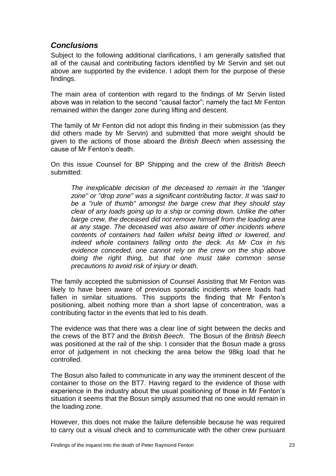## <span id="page-25-0"></span>*Conclusions*

Subject to the following additional clarifications, I am generally satisfied that all of the causal and contributing factors identified by Mr Servin and set out above are supported by the evidence. I adopt them for the purpose of these findings.

The main area of contention with regard to the findings of Mr Servin listed above was in relation to the second "causal factor"; namely the fact Mr Fenton remained within the danger zone during lifting and descent.

The family of Mr Fenton did not adopt this finding in their submission (as they did others made by Mr Servin) and submitted that more weight should be given to the actions of those aboard the *British Beech* when assessing the cause of Mr Fenton's death.

On this issue Counsel for BP Shipping and the crew of the *British Beech* submitted:

*The inexplicable decision of the deceased to remain in the "danger zone" or "drop zone" was a significant contributing factor. It was said to be a "rule of thumb" amongst the barge crew that they should stay clear of any loads going up to a ship or coming down. Unlike the other barge crew, the deceased did not remove himself from the loading area at any stage. The deceased was also aware of other incidents where contents of containers had fallen whilst being lifted or lowered, and indeed whole containers falling onto the deck. As Mr Cox in his evidence conceded, one cannot rely on the crew on the ship above doing the right thing, but that one must take common sense precautions to avoid risk of injury or death.*

The family accepted the submission of Counsel Assisting that Mr Fenton was likely to have been aware of previous sporadic incidents where loads had fallen in similar situations. This supports the finding that Mr Fenton's positioning, albeit nothing more than a short lapse of concentration, was a contributing factor in the events that led to his death.

The evidence was that there was a clear line of sight between the decks and the crews of the BT7 and the *British Beech*. The Bosun of the *British Beech* was positioned at the rail of the ship. I consider that the Bosun made a gross error of judgement in not checking the area below the 98kg load that he controlled.

The Bosun also failed to communicate in any way the imminent descent of the container to those on the BT7. Having regard to the evidence of those with experience in the industry about the usual positioning of those in Mr Fenton's situation it seems that the Bosun simply assumed that no one would remain in the loading zone.

However, this does not make the failure defensible because he was required to carry out a visual check and to communicate with the other crew pursuant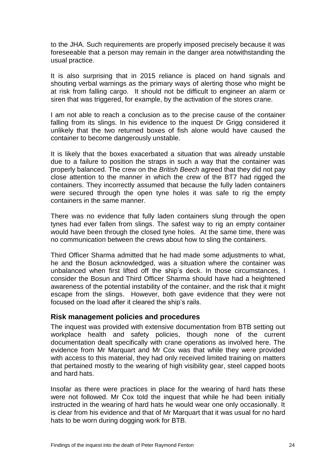to the JHA. Such requirements are properly imposed precisely because it was foreseeable that a person may remain in the danger area notwithstanding the usual practice.

It is also surprising that in 2015 reliance is placed on hand signals and shouting verbal warnings as the primary ways of alerting those who might be at risk from falling cargo. It should not be difficult to engineer an alarm or siren that was triggered, for example, by the activation of the stores crane.

I am not able to reach a conclusion as to the precise cause of the container falling from its slings. In his evidence to the inquest Dr Grigg considered it unlikely that the two returned boxes of fish alone would have caused the container to become dangerously unstable.

It is likely that the boxes exacerbated a situation that was already unstable due to a failure to position the straps in such a way that the container was properly balanced. The crew on the *British Beech* agreed that they did not pay close attention to the manner in which the crew of the BT7 had rigged the containers. They incorrectly assumed that because the fully laden containers were secured through the open tyne holes it was safe to rig the empty containers in the same manner.

There was no evidence that fully laden containers slung through the open tynes had ever fallen from slings. The safest way to rig an empty container would have been through the closed tyne holes. At the same time, there was no communication between the crews about how to sling the containers.

Third Officer Sharma admitted that he had made some adjustments to what, he and the Bosun acknowledged, was a situation where the container was unbalanced when first lifted off the ship's deck. In those circumstances, I consider the Bosun and Third Officer Sharma should have had a heightened awareness of the potential instability of the container, and the risk that it might escape from the slings. However, both gave evidence that they were not focused on the load after it cleared the ship's rails.

#### <span id="page-26-0"></span>**Risk management policies and procedures**

The inquest was provided with extensive documentation from BTB setting out workplace health and safety policies, though none of the current documentation dealt specifically with crane operations as involved here. The evidence from Mr Marquart and Mr Cox was that while they were provided with access to this material, they had only received limited training on matters that pertained mostly to the wearing of high visibility gear, steel capped boots and hard hats.

Insofar as there were practices in place for the wearing of hard hats these were not followed. Mr Cox told the inquest that while he had been initially instructed in the wearing of hard hats he would wear one only occasionally. It is clear from his evidence and that of Mr Marquart that it was usual for no hard hats to be worn during dogging work for BTB.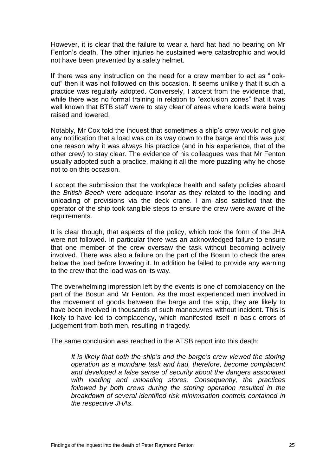However, it is clear that the failure to wear a hard hat had no bearing on Mr Fenton's death. The other injuries he sustained were catastrophic and would not have been prevented by a safety helmet.

If there was any instruction on the need for a crew member to act as "lookout" then it was not followed on this occasion. It seems unlikely that it such a practice was regularly adopted. Conversely, I accept from the evidence that, while there was no formal training in relation to "exclusion zones" that it was well known that BTB staff were to stay clear of areas where loads were being raised and lowered.

Notably, Mr Cox told the inquest that sometimes a ship's crew would not give any notification that a load was on its way down to the barge and this was just one reason why it was always his practice (and in his experience, that of the other crew) to stay clear. The evidence of his colleagues was that Mr Fenton usually adopted such a practice, making it all the more puzzling why he chose not to on this occasion.

I accept the submission that the workplace health and safety policies aboard the *British Beech* were adequate insofar as they related to the loading and unloading of provisions via the deck crane. I am also satisfied that the operator of the ship took tangible steps to ensure the crew were aware of the requirements.

It is clear though, that aspects of the policy, which took the form of the JHA were not followed. In particular there was an acknowledged failure to ensure that one member of the crew oversaw the task without becoming actively involved. There was also a failure on the part of the Bosun to check the area below the load before lowering it. In addition he failed to provide any warning to the crew that the load was on its way.

The overwhelming impression left by the events is one of complacency on the part of the Bosun and Mr Fenton. As the most experienced men involved in the movement of goods between the barge and the ship, they are likely to have been involved in thousands of such manoeuvres without incident. This is likely to have led to complacency, which manifested itself in basic errors of judgement from both men, resulting in tragedy.

The same conclusion was reached in the ATSB report into this death:

*It is likely that both the ship's and the barge's crew viewed the storing operation as a mundane task and had, therefore, become complacent and developed a false sense of security about the dangers associated with loading and unloading stores. Consequently, the practices followed by both crews during the storing operation resulted in the breakdown of several identified risk minimisation controls contained in the respective JHAs.*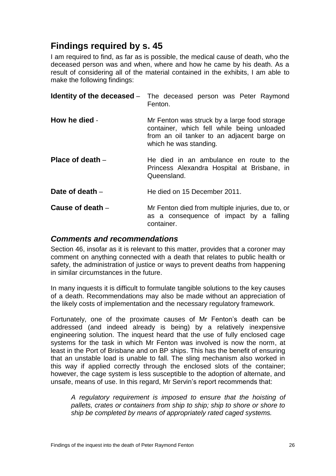## <span id="page-28-0"></span>**Findings required by s. 45**

I am required to find, as far as is possible, the medical cause of death, who the deceased person was and when, where and how he came by his death. As a result of considering all of the material contained in the exhibits, I am able to make the following findings:

<span id="page-28-3"></span><span id="page-28-2"></span><span id="page-28-1"></span>

|                   | <b>Identity of the deceased</b> – The deceased person was Peter Raymond<br>Fenton.                                                                                 |
|-------------------|--------------------------------------------------------------------------------------------------------------------------------------------------------------------|
| How he died -     | Mr Fenton was struck by a large food storage<br>container, which fell while being unloaded<br>from an oil tanker to an adjacent barge on<br>which he was standing. |
| Place of death –  | He died in an ambulance en route to the<br>Princess Alexandra Hospital at Brisbane, in<br>Queensland.                                                              |
| Date of death $-$ | He died on 15 December 2011.                                                                                                                                       |
| Cause of death -  | Mr Fenton died from multiple injuries, due to, or<br>as a consequence of impact by a falling<br>container.                                                         |

### <span id="page-28-6"></span><span id="page-28-5"></span><span id="page-28-4"></span>*Comments and recommendations*

Section 46, insofar as it is relevant to this matter, provides that a coroner may comment on anything connected with a death that relates to public health or safety, the administration of justice or ways to prevent deaths from happening in similar circumstances in the future.

In many inquests it is difficult to formulate tangible solutions to the key causes of a death. Recommendations may also be made without an appreciation of the likely costs of implementation and the necessary regulatory framework.

Fortunately, one of the proximate causes of Mr Fenton's death can be addressed (and indeed already is being) by a relatively inexpensive engineering solution. The inquest heard that the use of fully enclosed cage systems for the task in which Mr Fenton was involved is now the norm, at least in the Port of Brisbane and on BP ships. This has the benefit of ensuring that an unstable load is unable to fall. The sling mechanism also worked in this way if applied correctly through the enclosed slots of the container; however, the cage system is less susceptible to the adoption of alternate, and unsafe, means of use. In this regard, Mr Servin's report recommends that:

*A regulatory requirement is imposed to ensure that the hoisting of pallets, crates or containers from ship to ship; ship to shore or shore to ship be completed by means of appropriately rated caged systems.*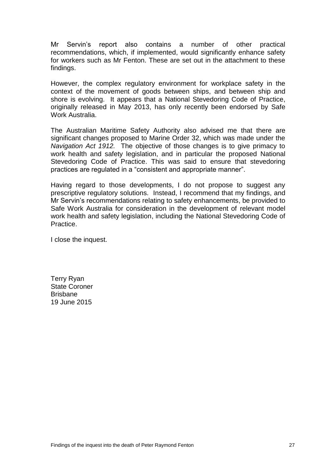Mr Servin's report also contains a number of other practical recommendations, which, if implemented, would significantly enhance safety for workers such as Mr Fenton. These are set out in the attachment to these findings.

However, the complex regulatory environment for workplace safety in the context of the movement of goods between ships, and between ship and shore is evolving. It appears that a National Stevedoring Code of Practice, originally released in May 2013, has only recently been endorsed by Safe Work Australia.

The Australian Maritime Safety Authority also advised me that there are significant changes proposed to Marine Order 32, which was made under the *Navigation Act 1912.* The objective of those changes is to give primacy to work health and safety legislation, and in particular the proposed National Stevedoring Code of Practice. This was said to ensure that stevedoring practices are regulated in a "consistent and appropriate manner".

Having regard to those developments, I do not propose to suggest any prescriptive regulatory solutions. Instead, I recommend that my findings, and Mr Servin's recommendations relating to safety enhancements, be provided to Safe Work Australia for consideration in the development of relevant model work health and safety legislation, including the National Stevedoring Code of Practice.

I close the inquest.

Terry Ryan State Coroner Brisbane 19 June 2015